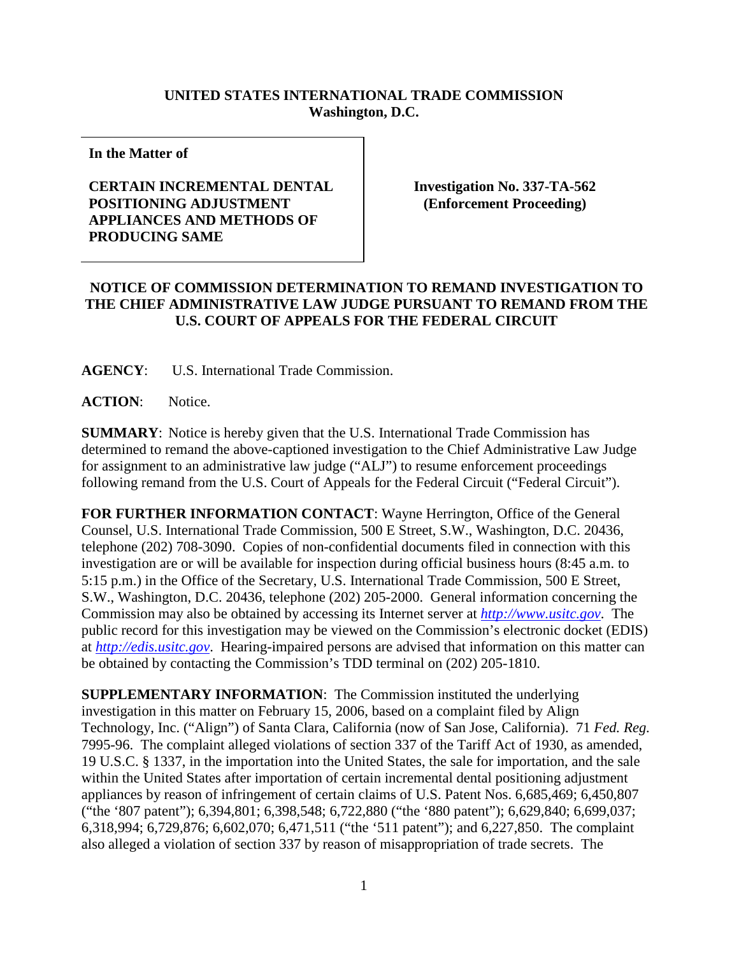## **UNITED STATES INTERNATIONAL TRADE COMMISSION Washington, D.C.**

**In the Matter of** 

## **CERTAIN INCREMENTAL DENTAL POSITIONING ADJUSTMENT APPLIANCES AND METHODS OF PRODUCING SAME**

**Investigation No. 337-TA-562 (Enforcement Proceeding)**

## **NOTICE OF COMMISSION DETERMINATION TO REMAND INVESTIGATION TO THE CHIEF ADMINISTRATIVE LAW JUDGE PURSUANT TO REMAND FROM THE U.S. COURT OF APPEALS FOR THE FEDERAL CIRCUIT**

**AGENCY**: U.S. International Trade Commission.

**ACTION**: Notice.

**SUMMARY**: Notice is hereby given that the U.S. International Trade Commission has determined to remand the above-captioned investigation to the Chief Administrative Law Judge for assignment to an administrative law judge ("ALJ") to resume enforcement proceedings following remand from the U.S. Court of Appeals for the Federal Circuit ("Federal Circuit").

**FOR FURTHER INFORMATION CONTACT**: Wayne Herrington, Office of the General Counsel, U.S. International Trade Commission, 500 E Street, S.W., Washington, D.C. 20436, telephone (202) 708-3090. Copies of non-confidential documents filed in connection with this investigation are or will be available for inspection during official business hours (8:45 a.m. to 5:15 p.m.) in the Office of the Secretary, U.S. International Trade Commission, 500 E Street, S.W., Washington, D.C. 20436, telephone (202) 205-2000. General information concerning the Commission may also be obtained by accessing its Internet server at *[http://www.usitc.gov](http://www.usitc.gov/)*. The public record for this investigation may be viewed on the Commission's electronic docket (EDIS) at *[http://edis.usitc.gov](http://edis.usitc.gov/)*. Hearing-impaired persons are advised that information on this matter can be obtained by contacting the Commission's TDD terminal on (202) 205-1810.

**SUPPLEMENTARY INFORMATION**: The Commission instituted the underlying investigation in this matter on February 15, 2006, based on a complaint filed by Align Technology, Inc. ("Align") of Santa Clara, California (now of San Jose, California). 71 *Fed. Reg.* 7995-96. The complaint alleged violations of section 337 of the Tariff Act of 1930, as amended, 19 U.S.C. § 1337, in the importation into the United States, the sale for importation, and the sale within the United States after importation of certain incremental dental positioning adjustment appliances by reason of infringement of certain claims of U.S. Patent Nos. 6,685,469; 6,450,807 ("the '807 patent"); 6,394,801; 6,398,548; 6,722,880 ("the '880 patent"); 6,629,840; 6,699,037; 6,318,994; 6,729,876; 6,602,070; 6,471,511 ("the '511 patent"); and 6,227,850. The complaint also alleged a violation of section 337 by reason of misappropriation of trade secrets. The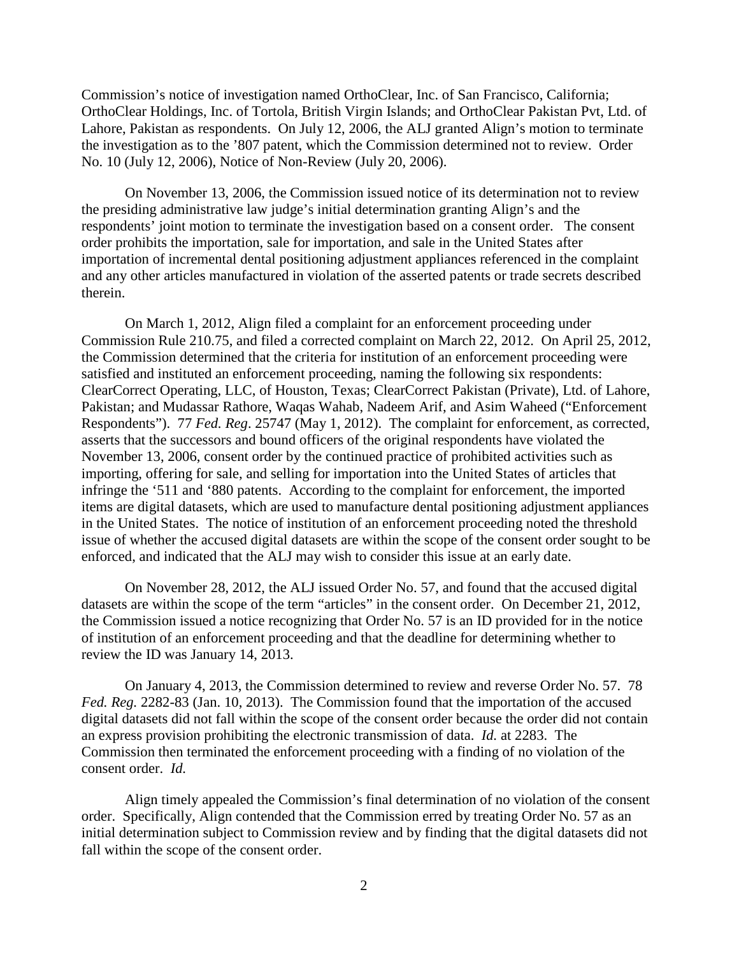Commission's notice of investigation named OrthoClear, Inc. of San Francisco, California; OrthoClear Holdings, Inc. of Tortola, British Virgin Islands; and OrthoClear Pakistan Pvt, Ltd. of Lahore, Pakistan as respondents. On July 12, 2006, the ALJ granted Align's motion to terminate the investigation as to the '807 patent, which the Commission determined not to review. Order No. 10 (July 12, 2006), Notice of Non-Review (July 20, 2006).

On November 13, 2006, the Commission issued notice of its determination not to review the presiding administrative law judge's initial determination granting Align's and the respondents' joint motion to terminate the investigation based on a consent order. The consent order prohibits the importation, sale for importation, and sale in the United States after importation of incremental dental positioning adjustment appliances referenced in the complaint and any other articles manufactured in violation of the asserted patents or trade secrets described therein.

On March 1, 2012, Align filed a complaint for an enforcement proceeding under Commission Rule 210.75, and filed a corrected complaint on March 22, 2012. On April 25, 2012, the Commission determined that the criteria for institution of an enforcement proceeding were satisfied and instituted an enforcement proceeding, naming the following six respondents: ClearCorrect Operating, LLC, of Houston, Texas; ClearCorrect Pakistan (Private), Ltd. of Lahore, Pakistan; and Mudassar Rathore, Waqas Wahab, Nadeem Arif, and Asim Waheed ("Enforcement Respondents"). 77 *Fed. Reg*. 25747 (May 1, 2012). The complaint for enforcement, as corrected, asserts that the successors and bound officers of the original respondents have violated the November 13, 2006, consent order by the continued practice of prohibited activities such as importing, offering for sale, and selling for importation into the United States of articles that infringe the '511 and '880 patents. According to the complaint for enforcement, the imported items are digital datasets, which are used to manufacture dental positioning adjustment appliances in the United States. The notice of institution of an enforcement proceeding noted the threshold issue of whether the accused digital datasets are within the scope of the consent order sought to be enforced, and indicated that the ALJ may wish to consider this issue at an early date.

On November 28, 2012, the ALJ issued Order No. 57, and found that the accused digital datasets are within the scope of the term "articles" in the consent order. On December 21, 2012, the Commission issued a notice recognizing that Order No. 57 is an ID provided for in the notice of institution of an enforcement proceeding and that the deadline for determining whether to review the ID was January 14, 2013.

On January 4, 2013, the Commission determined to review and reverse Order No. 57. 78 *Fed. Reg.* 2282-83 (Jan. 10, 2013). The Commission found that the importation of the accused digital datasets did not fall within the scope of the consent order because the order did not contain an express provision prohibiting the electronic transmission of data. *Id.* at 2283. The Commission then terminated the enforcement proceeding with a finding of no violation of the consent order. *Id.*

Align timely appealed the Commission's final determination of no violation of the consent order. Specifically, Align contended that the Commission erred by treating Order No. 57 as an initial determination subject to Commission review and by finding that the digital datasets did not fall within the scope of the consent order.